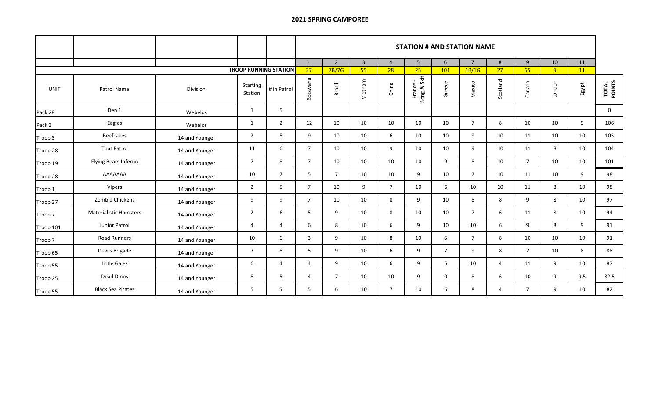## **2021 SPRING CAMPOREE**

|                              |                               |                |                            |                | <b>STATION # AND STATION NAME</b> |                |                |                |                                    |                |                |                |                |                |       |                 |  |  |
|------------------------------|-------------------------------|----------------|----------------------------|----------------|-----------------------------------|----------------|----------------|----------------|------------------------------------|----------------|----------------|----------------|----------------|----------------|-------|-----------------|--|--|
|                              |                               |                |                            |                | 1                                 | $\overline{2}$ | $\overline{3}$ | $\overline{4}$ | 5 <sup>5</sup>                     | 6              | $\overline{7}$ | 8              | 9              | 10             | 11    |                 |  |  |
| <b>TROOP RUNNING STATION</b> |                               |                |                            |                | 27                                | 7B/7G          | 55             | 28             | 25                                 | 101            | 1B/1G          | 27             | 65             | 3 <sup>7</sup> | 11    |                 |  |  |
| UNIT                         | Patrol Name                   | Division       | <b>Starting</b><br>Station | # in Patrol    | Botswana                          | Brazil         | Vietnam        | China          | Skit<br>France<br>ong & SI<br>Song | Greece         | Mexico         | Scotland       | Canada         | London         | Egypt | TOTAL<br>POINTS |  |  |
| Pack 28                      | Den 1                         | Webelos        | 1                          | 5              |                                   |                |                |                |                                    |                |                |                |                |                |       | $\mathbf 0$     |  |  |
| Pack 3                       | Eagles                        | Webelos        | 1                          | $\overline{2}$ | 12                                | 10             | 10             | 10             | 10                                 | 10             | $\overline{7}$ | 8              | 10             | 10             | 9     | 106             |  |  |
| Troop 3                      | <b>Beefcakes</b>              | 14 and Younger | $\overline{2}$             | 5              | 9                                 | 10             | 10             | 6              | 10                                 | 10             | 9              | 10             | 11             | 10             | 10    | 105             |  |  |
| Troop 28                     | <b>That Patrol</b>            | 14 and Younger | 11                         | 6              | $\overline{7}$                    | 10             | 10             | 9              | 10                                 | 10             | 9              | 10             | 11             | 8              | 10    | 104             |  |  |
| Troop 19                     | Flying Bears Inferno          | 14 and Younger | $\overline{7}$             | 8              | $\overline{7}$                    | 10             | 10             | 10             | 10                                 | 9              | 8              | 10             | $\overline{7}$ | 10             | 10    | 101             |  |  |
| Troop 28                     | AAAAAAA                       | 14 and Younger | 10                         | $\overline{7}$ | 5                                 | $\overline{7}$ | 10             | 10             | 9                                  | 10             | $\overline{7}$ | 10             | 11             | 10             | 9     | 98              |  |  |
| Troop 1                      | Vipers                        | 14 and Younger | $\overline{2}$             | 5              | $\overline{7}$                    | 10             | 9              | $\overline{7}$ | 10                                 | 6              | 10             | 10             | 11             | 8              | 10    | 98              |  |  |
| Troop 27                     | Zombie Chickens               | 14 and Younger | 9                          | 9              | $\overline{7}$                    | 10             | 10             | 8              | 9                                  | 10             | 8              | 8              | 9              | 8              | 10    | 97              |  |  |
| Troop 7                      | <b>Materialistic Hamsters</b> | 14 and Younger | $\overline{2}$             | 6              | 5                                 | 9              | 10             | 8              | 10                                 | 10             | $\overline{7}$ | 6              | 11             | 8              | 10    | 94              |  |  |
| Troop 101                    | Junior Patrol                 | 14 and Younger | 4                          | $\overline{4}$ | 6                                 | 8              | 10             | 6              | 9                                  | 10             | 10             | 6              | 9              | 8              | 9     | 91              |  |  |
| Troop 7                      | Road Runners                  | 14 and Younger | 10                         | 6              | 3                                 | 9              | 10             | 8              | 10                                 | 6              | $\overline{7}$ | 8              | 10             | 10             | 10    | 91              |  |  |
| Troop 65                     | Devils Brigade                | 14 and Younger | $\overline{7}$             | 8              | 5                                 | 9              | 10             | 6              | 9                                  | $\overline{7}$ | 9              | 8              | $\overline{7}$ | 10             | 8     | 88              |  |  |
| Troop 55                     | Little Gales                  | 14 and Younger | 6                          | $\overline{4}$ | 4                                 | 9              | 10             | 6              | 9                                  | 5              | 10             | $\overline{a}$ | 11             | 9              | 10    | 87              |  |  |
| Troop 25                     | Dead Dinos                    | 14 and Younger | 8                          | 5              | 4                                 | $\overline{7}$ | 10             | 10             | 9                                  | 0              | 8              | 6              | 10             | 9              | 9.5   | 82.5            |  |  |
| Troop 55                     | <b>Black Sea Pirates</b>      | 14 and Younger | 5                          | 5              | 5                                 | 6              | 10             | $\overline{7}$ | 10                                 | 6              | 8              | $\overline{4}$ | $\overline{7}$ | 9              | 10    | 82              |  |  |